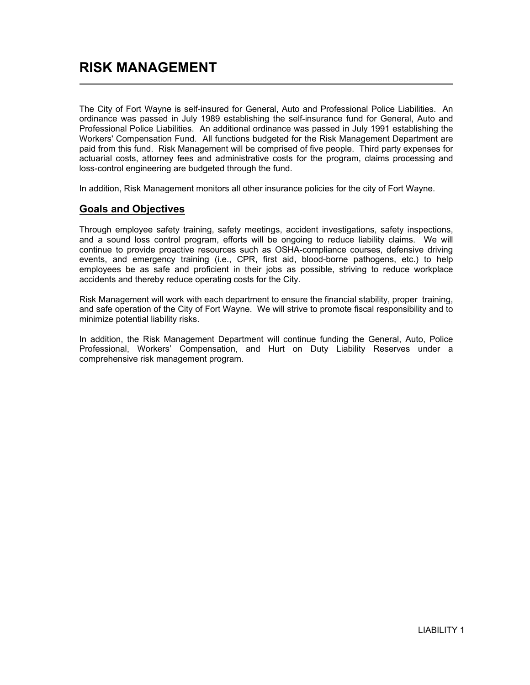The City of Fort Wayne is self-insured for General, Auto and Professional Police Liabilities. An ordinance was passed in July 1989 establishing the self-insurance fund for General, Auto and Professional Police Liabilities. An additional ordinance was passed in July 1991 establishing the Workers' Compensation Fund. All functions budgeted for the Risk Management Department are paid from this fund. Risk Management will be comprised of five people. Third party expenses for actuarial costs, attorney fees and administrative costs for the program, claims processing and loss-control engineering are budgeted through the fund.

In addition, Risk Management monitors all other insurance policies for the city of Fort Wayne.

## Goals and Objectives

Through employee safety training, safety meetings, accident investigations, safety inspections, and a sound loss control program, efforts will be ongoing to reduce liability claims. We will continue to provide proactive resources such as OSHA-compliance courses, defensive driving events, and emergency training (i.e., CPR, first aid, blood-borne pathogens, etc.) to help employees be as safe and proficient in their jobs as possible, striving to reduce workplace accidents and thereby reduce operating costs for the City.

Risk Management will work with each department to ensure the financial stability, proper training, and safe operation of the City of Fort Wayne. We will strive to promote fiscal responsibility and to minimize potential liability risks.

In addition, the Risk Management Department will continue funding the General, Auto, Police Professional, Workers' Compensation, and Hurt on Duty Liability Reserves under a comprehensive risk management program.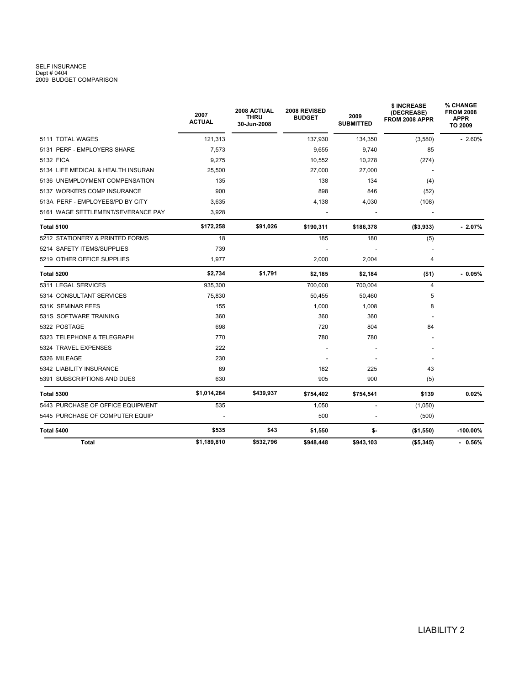## SELF INSURANCE<br>Dept # 0404<br>2009 BUDGET COMPARISON

|                                    | 2007<br><b>ACTUAL</b> | 2008 ACTUAL<br><b>THRU</b><br>30-Jun-2008 | 2008 REVISED<br><b>BUDGET</b> | 2009<br><b>SUBMITTED</b> | \$ INCREASE<br>(DECREASE)<br>FROM 2008 APPR | % CHANGE<br><b>FROM 2008</b><br><b>APPR</b><br>TO 2009 |
|------------------------------------|-----------------------|-------------------------------------------|-------------------------------|--------------------------|---------------------------------------------|--------------------------------------------------------|
| 5111 TOTAL WAGES                   | 121,313               |                                           | 137,930                       | 134,350                  | (3,580)                                     | $-2.60%$                                               |
| 5131 PERF - EMPLOYERS SHARE        | 7,573                 |                                           | 9,655                         | 9,740                    | 85                                          |                                                        |
| 5132 FICA                          | 9,275                 |                                           | 10,552                        | 10,278                   | (274)                                       |                                                        |
| 5134 LIFE MEDICAL & HEALTH INSURAN | 25.500                |                                           | 27,000                        | 27,000                   |                                             |                                                        |
| 5136 UNEMPLOYMENT COMPENSATION     | 135                   |                                           | 138                           | 134                      | (4)                                         |                                                        |
| 5137 WORKERS COMP INSURANCE        | 900                   |                                           | 898                           | 846                      | (52)                                        |                                                        |
| 513A PERF - EMPLOYEES/PD BY CITY   | 3,635                 |                                           | 4,138                         | 4,030                    | (108)                                       |                                                        |
| 5161 WAGE SETTLEMENT/SEVERANCE PAY | 3,928                 |                                           |                               |                          |                                             |                                                        |
| <b>Total 5100</b>                  | \$172,258             | \$91,026                                  | \$190,311                     | \$186,378                | (\$3,933)                                   | $-2.07\%$                                              |
| 5212 STATIONERY & PRINTED FORMS    | 18                    |                                           | 185                           | 180                      | (5)                                         |                                                        |
| 5214 SAFETY ITEMS/SUPPLIES         | 739                   |                                           |                               |                          |                                             |                                                        |
| 5219 OTHER OFFICE SUPPLIES         | 1,977                 |                                           | 2,000                         | 2,004                    | 4                                           |                                                        |
| <b>Total 5200</b>                  | \$2,734               | \$1,791                                   | \$2,185                       | \$2,184                  | ( \$1)                                      | $-0.05%$                                               |
| 5311 LEGAL SERVICES                | 935.300               |                                           | 700.000                       | 700.004                  | $\overline{4}$                              |                                                        |
| 5314 CONSULTANT SERVICES           | 75,830                |                                           | 50,455                        | 50,460                   | 5                                           |                                                        |
| 531K SEMINAR FEES                  | 155                   |                                           | 1,000                         | 1,008                    | 8                                           |                                                        |
| 531S SOFTWARE TRAINING             | 360                   |                                           | 360                           | 360                      |                                             |                                                        |
| 5322 POSTAGE                       | 698                   |                                           | 720                           | 804                      | 84                                          |                                                        |
| 5323 TELEPHONE & TELEGRAPH         | 770                   |                                           | 780                           | 780                      |                                             |                                                        |
| 5324 TRAVEL EXPENSES               | 222                   |                                           |                               |                          |                                             |                                                        |
| 5326 MILEAGE                       | 230                   |                                           |                               |                          |                                             |                                                        |
| 5342 LIABILITY INSURANCE           | 89                    |                                           | 182                           | 225                      | 43                                          |                                                        |
| 5391 SUBSCRIPTIONS AND DUES        | 630                   |                                           | 905                           | 900                      | (5)                                         |                                                        |
| <b>Total 5300</b>                  | \$1,014,284           | \$439,937                                 | \$754,402                     | \$754,541                | \$139                                       | 0.02%                                                  |
| 5443 PURCHASE OF OFFICE EQUIPMENT  | 535                   |                                           | 1.050                         | $\overline{\phantom{a}}$ | (1,050)                                     |                                                        |
| 5445 PURCHASE OF COMPUTER EQUIP    |                       |                                           | 500                           |                          | (500)                                       |                                                        |
| <b>Total 5400</b>                  | \$535                 | \$43                                      | \$1,550                       | \$-                      | (\$1,550)                                   | $-100.00\%$                                            |
| Total                              | \$1,189,810           | \$532,796                                 | \$948,448                     | \$943,103                | (\$5,345)                                   | $-0.56\%$                                              |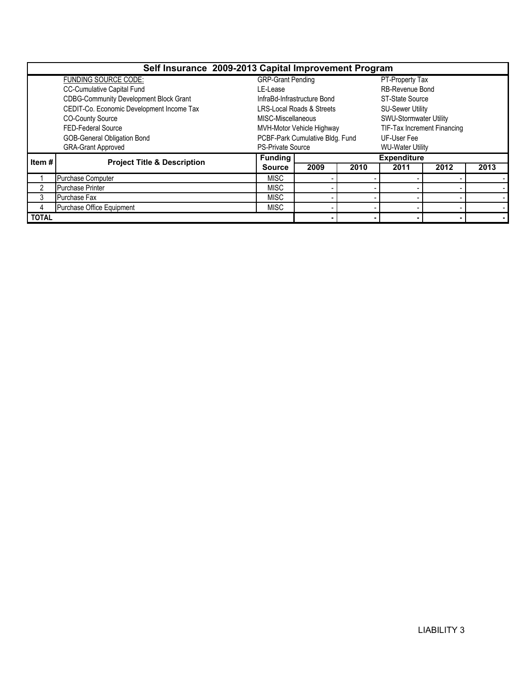| Self Insurance 2009-2013 Capital Improvement Program |                                               |                          |                                      |                         |                             |      |      |  |  |  |  |
|------------------------------------------------------|-----------------------------------------------|--------------------------|--------------------------------------|-------------------------|-----------------------------|------|------|--|--|--|--|
|                                                      | <b>FUNDING SOURCE CODE:</b>                   | <b>GRP-Grant Pending</b> |                                      |                         | PT-Property Tax             |      |      |  |  |  |  |
|                                                      | <b>CC-Cumulative Capital Fund</b>             | LE-Lease                 |                                      |                         | <b>RB-Revenue Bond</b>      |      |      |  |  |  |  |
|                                                      | <b>CDBG-Community Development Block Grant</b> |                          | InfraBd-Infrastructure Bond          |                         | <b>ST-State Source</b>      |      |      |  |  |  |  |
|                                                      | CEDIT-Co. Economic Development Income Tax     |                          | <b>LRS-Local Roads &amp; Streets</b> |                         | <b>SU-Sewer Utility</b>     |      |      |  |  |  |  |
|                                                      | <b>CO-County Source</b>                       | MISC-Miscellaneous       |                                      |                         | SWU-Stormwater Utility      |      |      |  |  |  |  |
|                                                      | FED-Federal Source                            |                          | MVH-Motor Vehicle Highway            |                         | TIF-Tax Increment Financing |      |      |  |  |  |  |
|                                                      | GOB-General Obligation Bond                   |                          | PCBF-Park Cumulative Bldg. Fund      |                         | UF-User Fee                 |      |      |  |  |  |  |
|                                                      | <b>GRA-Grant Approved</b>                     | <b>PS-Private Source</b> |                                      | <b>WU-Water Utility</b> |                             |      |      |  |  |  |  |
| Item #<br><b>Project Title &amp; Description</b>     |                                               | <b>Funding</b>           | <b>Expenditure</b>                   |                         |                             |      |      |  |  |  |  |
|                                                      |                                               | <b>Source</b>            | 2009                                 | 2010                    | 2011                        | 2012 | 2013 |  |  |  |  |
|                                                      | Purchase Computer                             | <b>MISC</b>              |                                      |                         |                             |      |      |  |  |  |  |
| 2                                                    | <b>Purchase Printer</b>                       | <b>MISC</b>              |                                      |                         |                             |      |      |  |  |  |  |
| 3                                                    | Purchase Fax                                  | <b>MISC</b>              |                                      |                         |                             |      |      |  |  |  |  |
| 4                                                    | Purchase Office Equipment                     | <b>MISC</b>              |                                      |                         |                             |      |      |  |  |  |  |
| <b>TOTAL</b>                                         |                                               |                          |                                      |                         |                             |      |      |  |  |  |  |